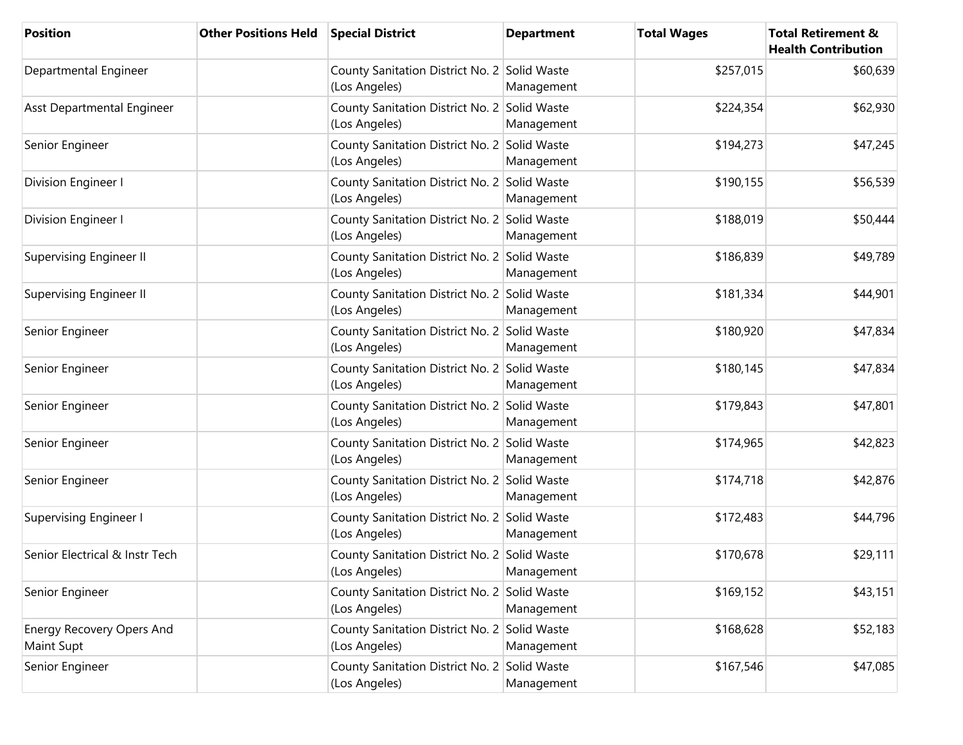| <b>Position</b>                                       | <b>Other Positions Held</b> | <b>Special District</b>                                       | <b>Department</b> | <b>Total Wages</b> | <b>Total Retirement &amp;</b><br><b>Health Contribution</b> |
|-------------------------------------------------------|-----------------------------|---------------------------------------------------------------|-------------------|--------------------|-------------------------------------------------------------|
| Departmental Engineer                                 |                             | County Sanitation District No. 2 Solid Waste<br>(Los Angeles) | Management        | \$257,015          | \$60,639                                                    |
| Asst Departmental Engineer                            |                             | County Sanitation District No. 2 Solid Waste<br>(Los Angeles) | Management        | \$224,354          | \$62,930                                                    |
| Senior Engineer                                       |                             | County Sanitation District No. 2 Solid Waste<br>(Los Angeles) | Management        | \$194,273          | \$47,245                                                    |
| Division Engineer I                                   |                             | County Sanitation District No. 2 Solid Waste<br>(Los Angeles) | Management        | \$190,155          | \$56,539                                                    |
| Division Engineer I                                   |                             | County Sanitation District No. 2 Solid Waste<br>(Los Angeles) | Management        | \$188,019          | \$50,444                                                    |
| <b>Supervising Engineer II</b>                        |                             | County Sanitation District No. 2 Solid Waste<br>(Los Angeles) | Management        | \$186,839          | \$49,789                                                    |
| <b>Supervising Engineer II</b>                        |                             | County Sanitation District No. 2 Solid Waste<br>(Los Angeles) | Management        | \$181,334          | \$44,901                                                    |
| Senior Engineer                                       |                             | County Sanitation District No. 2 Solid Waste<br>(Los Angeles) | Management        | \$180,920          | \$47,834                                                    |
| Senior Engineer                                       |                             | County Sanitation District No. 2 Solid Waste<br>(Los Angeles) | Management        | \$180,145          | \$47,834                                                    |
| Senior Engineer                                       |                             | County Sanitation District No. 2 Solid Waste<br>(Los Angeles) | Management        | \$179,843          | \$47,801                                                    |
| Senior Engineer                                       |                             | County Sanitation District No. 2 Solid Waste<br>(Los Angeles) | Management        | \$174,965          | \$42,823                                                    |
| Senior Engineer                                       |                             | County Sanitation District No. 2 Solid Waste<br>(Los Angeles) | Management        | \$174,718          | \$42,876                                                    |
| <b>Supervising Engineer I</b>                         |                             | County Sanitation District No. 2 Solid Waste<br>(Los Angeles) | Management        | \$172,483          | \$44,796                                                    |
| Senior Electrical & Instr Tech                        |                             | County Sanitation District No. 2 Solid Waste<br>(Los Angeles) | Management        | \$170,678          | \$29,111                                                    |
| Senior Engineer                                       |                             | County Sanitation District No. 2 Solid Waste<br>(Los Angeles) | Management        | \$169,152          | \$43,151                                                    |
| <b>Energy Recovery Opers And</b><br><b>Maint Supt</b> |                             | County Sanitation District No. 2 Solid Waste<br>(Los Angeles) | Management        | \$168,628          | \$52,183                                                    |
| Senior Engineer                                       |                             | County Sanitation District No. 2 Solid Waste<br>(Los Angeles) | Management        | \$167,546          | \$47,085                                                    |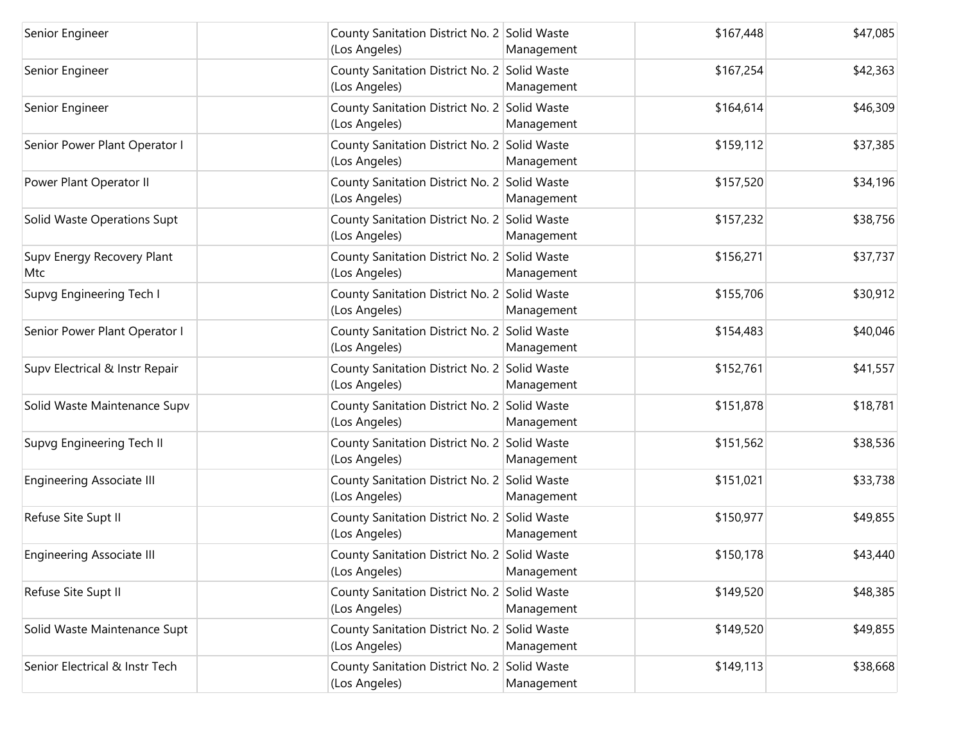| Senior Engineer                   | County Sanitation District No. 2 Solid Waste<br>(Los Angeles) | Management | \$167,448 | \$47,085 |
|-----------------------------------|---------------------------------------------------------------|------------|-----------|----------|
| Senior Engineer                   | County Sanitation District No. 2 Solid Waste<br>(Los Angeles) | Management | \$167,254 | \$42,363 |
| Senior Engineer                   | County Sanitation District No. 2 Solid Waste<br>(Los Angeles) | Management | \$164,614 | \$46,309 |
| Senior Power Plant Operator I     | County Sanitation District No. 2 Solid Waste<br>(Los Angeles) | Management | \$159,112 | \$37,385 |
| Power Plant Operator II           | County Sanitation District No. 2 Solid Waste<br>(Los Angeles) | Management | \$157,520 | \$34,196 |
| Solid Waste Operations Supt       | County Sanitation District No. 2 Solid Waste<br>(Los Angeles) | Management | \$157,232 | \$38,756 |
| Supv Energy Recovery Plant<br>Mtc | County Sanitation District No. 2 Solid Waste<br>(Los Angeles) | Management | \$156,271 | \$37,737 |
| Supvg Engineering Tech I          | County Sanitation District No. 2 Solid Waste<br>(Los Angeles) | Management | \$155,706 | \$30,912 |
| Senior Power Plant Operator I     | County Sanitation District No. 2 Solid Waste<br>(Los Angeles) | Management | \$154,483 | \$40,046 |
| Supv Electrical & Instr Repair    | County Sanitation District No. 2 Solid Waste<br>(Los Angeles) | Management | \$152,761 | \$41,557 |
| Solid Waste Maintenance Supv      | County Sanitation District No. 2 Solid Waste<br>(Los Angeles) | Management | \$151,878 | \$18,781 |
| Supvg Engineering Tech II         | County Sanitation District No. 2 Solid Waste<br>(Los Angeles) | Management | \$151,562 | \$38,536 |
| <b>Engineering Associate III</b>  | County Sanitation District No. 2 Solid Waste<br>(Los Angeles) | Management | \$151,021 | \$33,738 |
| Refuse Site Supt II               | County Sanitation District No. 2 Solid Waste<br>(Los Angeles) | Management | \$150,977 | \$49,855 |
| <b>Engineering Associate III</b>  | County Sanitation District No. 2 Solid Waste<br>(Los Angeles) | Management | \$150,178 | \$43,440 |
| Refuse Site Supt II               | County Sanitation District No. 2 Solid Waste<br>(Los Angeles) | Management | \$149,520 | \$48,385 |
| Solid Waste Maintenance Supt      | County Sanitation District No. 2 Solid Waste<br>(Los Angeles) | Management | \$149,520 | \$49,855 |
| Senior Electrical & Instr Tech    | County Sanitation District No. 2 Solid Waste<br>(Los Angeles) | Management | \$149,113 | \$38,668 |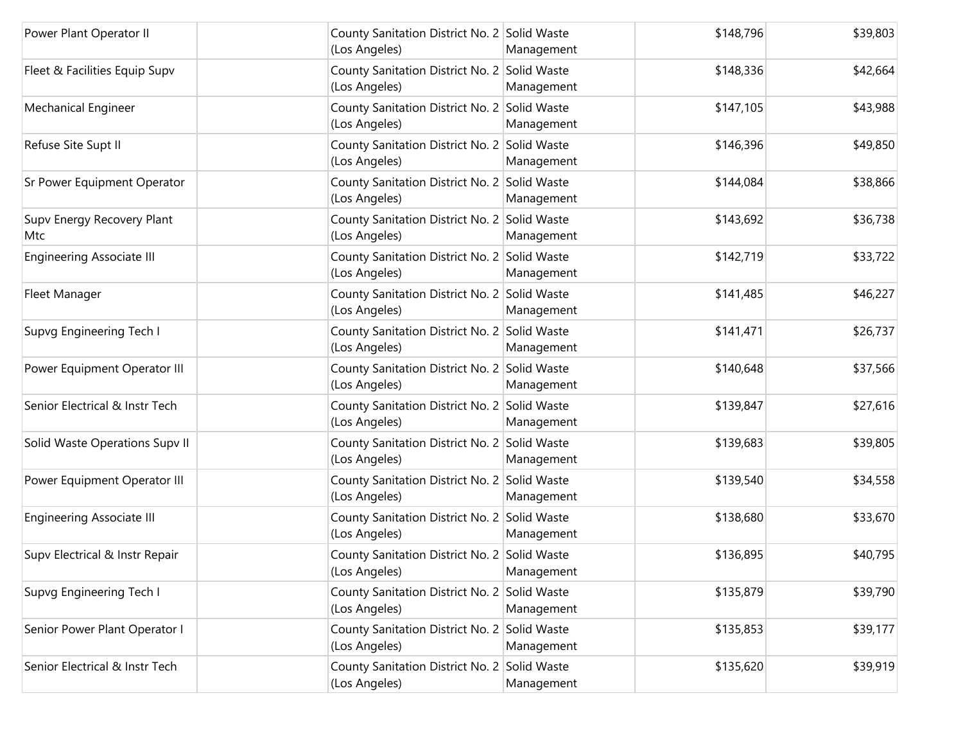| Power Plant Operator II           | County Sanitation District No. 2 Solid Waste<br>(Los Angeles) | Management | \$148,796 | \$39,803 |
|-----------------------------------|---------------------------------------------------------------|------------|-----------|----------|
| Fleet & Facilities Equip Supv     | County Sanitation District No. 2 Solid Waste<br>(Los Angeles) | Management | \$148,336 | \$42,664 |
| Mechanical Engineer               | County Sanitation District No. 2 Solid Waste<br>(Los Angeles) | Management | \$147,105 | \$43,988 |
| Refuse Site Supt II               | County Sanitation District No. 2 Solid Waste<br>(Los Angeles) | Management | \$146,396 | \$49,850 |
| Sr Power Equipment Operator       | County Sanitation District No. 2 Solid Waste<br>(Los Angeles) | Management | \$144,084 | \$38,866 |
| Supv Energy Recovery Plant<br>Mtc | County Sanitation District No. 2 Solid Waste<br>(Los Angeles) | Management | \$143,692 | \$36,738 |
| <b>Engineering Associate III</b>  | County Sanitation District No. 2 Solid Waste<br>(Los Angeles) | Management | \$142,719 | \$33,722 |
| Fleet Manager                     | County Sanitation District No. 2 Solid Waste<br>(Los Angeles) | Management | \$141,485 | \$46,227 |
| Supvg Engineering Tech I          | County Sanitation District No. 2 Solid Waste<br>(Los Angeles) | Management | \$141,471 | \$26,737 |
| Power Equipment Operator III      | County Sanitation District No. 2 Solid Waste<br>(Los Angeles) | Management | \$140,648 | \$37,566 |
| Senior Electrical & Instr Tech    | County Sanitation District No. 2 Solid Waste<br>(Los Angeles) | Management | \$139,847 | \$27,616 |
| Solid Waste Operations Supv II    | County Sanitation District No. 2 Solid Waste<br>(Los Angeles) | Management | \$139,683 | \$39,805 |
| Power Equipment Operator III      | County Sanitation District No. 2 Solid Waste<br>(Los Angeles) | Management | \$139,540 | \$34,558 |
| <b>Engineering Associate III</b>  | County Sanitation District No. 2 Solid Waste<br>(Los Angeles) | Management | \$138,680 | \$33,670 |
| Supv Electrical & Instr Repair    | County Sanitation District No. 2 Solid Waste<br>(Los Angeles) | Management | \$136,895 | \$40,795 |
| Supvg Engineering Tech I          | County Sanitation District No. 2 Solid Waste<br>(Los Angeles) | Management | \$135,879 | \$39,790 |
| Senior Power Plant Operator I     | County Sanitation District No. 2 Solid Waste<br>(Los Angeles) | Management | \$135,853 | \$39,177 |
| Senior Electrical & Instr Tech    | County Sanitation District No. 2 Solid Waste<br>(Los Angeles) | Management | \$135,620 | \$39,919 |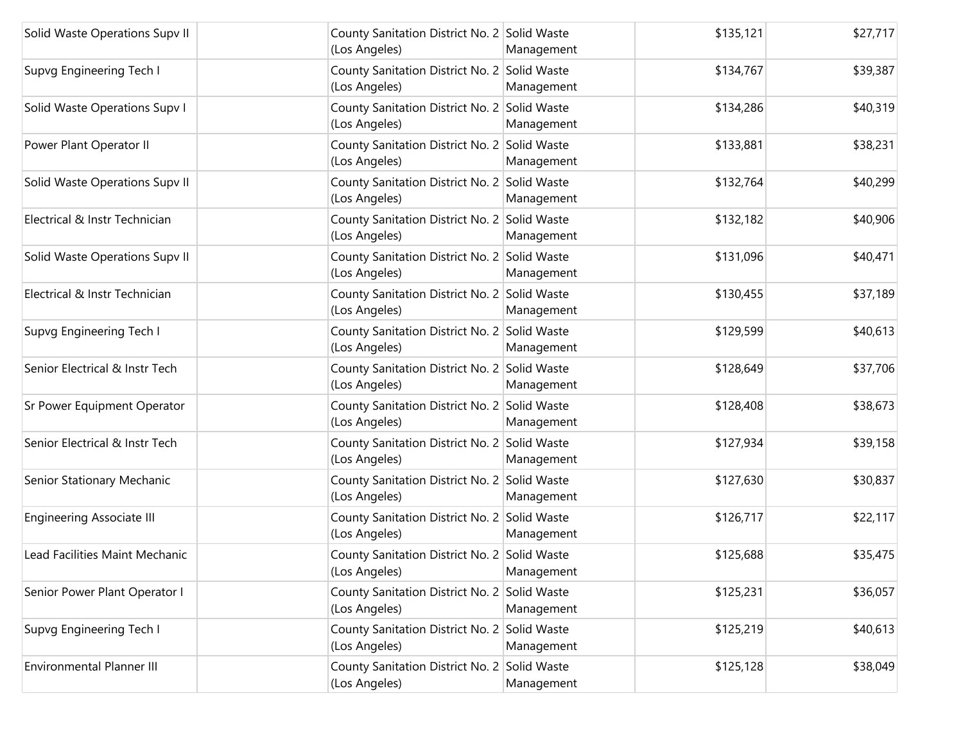| Solid Waste Operations Supv II   | County Sanitation District No. 2 Solid Waste<br>(Los Angeles) | Management | \$135,121 | \$27,717 |
|----------------------------------|---------------------------------------------------------------|------------|-----------|----------|
| Supvg Engineering Tech I         | County Sanitation District No. 2 Solid Waste<br>(Los Angeles) | Management | \$134,767 | \$39,387 |
| Solid Waste Operations Supv I    | County Sanitation District No. 2 Solid Waste<br>(Los Angeles) | Management | \$134,286 | \$40,319 |
| Power Plant Operator II          | County Sanitation District No. 2 Solid Waste<br>(Los Angeles) | Management | \$133,881 | \$38,231 |
| Solid Waste Operations Supv II   | County Sanitation District No. 2 Solid Waste<br>(Los Angeles) | Management | \$132,764 | \$40,299 |
| Electrical & Instr Technician    | County Sanitation District No. 2 Solid Waste<br>(Los Angeles) | Management | \$132,182 | \$40,906 |
| Solid Waste Operations Supv II   | County Sanitation District No. 2 Solid Waste<br>(Los Angeles) | Management | \$131,096 | \$40,471 |
| Electrical & Instr Technician    | County Sanitation District No. 2 Solid Waste<br>(Los Angeles) | Management | \$130,455 | \$37,189 |
| Supvg Engineering Tech I         | County Sanitation District No. 2 Solid Waste<br>(Los Angeles) | Management | \$129,599 | \$40,613 |
| Senior Electrical & Instr Tech   | County Sanitation District No. 2 Solid Waste<br>(Los Angeles) | Management | \$128,649 | \$37,706 |
| Sr Power Equipment Operator      | County Sanitation District No. 2 Solid Waste<br>(Los Angeles) | Management | \$128,408 | \$38,673 |
| Senior Electrical & Instr Tech   | County Sanitation District No. 2 Solid Waste<br>(Los Angeles) | Management | \$127,934 | \$39,158 |
| Senior Stationary Mechanic       | County Sanitation District No. 2 Solid Waste<br>(Los Angeles) | Management | \$127,630 | \$30,837 |
| <b>Engineering Associate III</b> | County Sanitation District No. 2 Solid Waste<br>(Los Angeles) | Management | \$126,717 | \$22,117 |
| Lead Facilities Maint Mechanic   | County Sanitation District No. 2 Solid Waste<br>(Los Angeles) | Management | \$125,688 | \$35,475 |
| Senior Power Plant Operator I    | County Sanitation District No. 2 Solid Waste<br>(Los Angeles) | Management | \$125,231 | \$36,057 |
| Supvg Engineering Tech I         | County Sanitation District No. 2 Solid Waste<br>(Los Angeles) | Management | \$125,219 | \$40,613 |
| Environmental Planner III        | County Sanitation District No. 2 Solid Waste<br>(Los Angeles) | Management | \$125,128 | \$38,049 |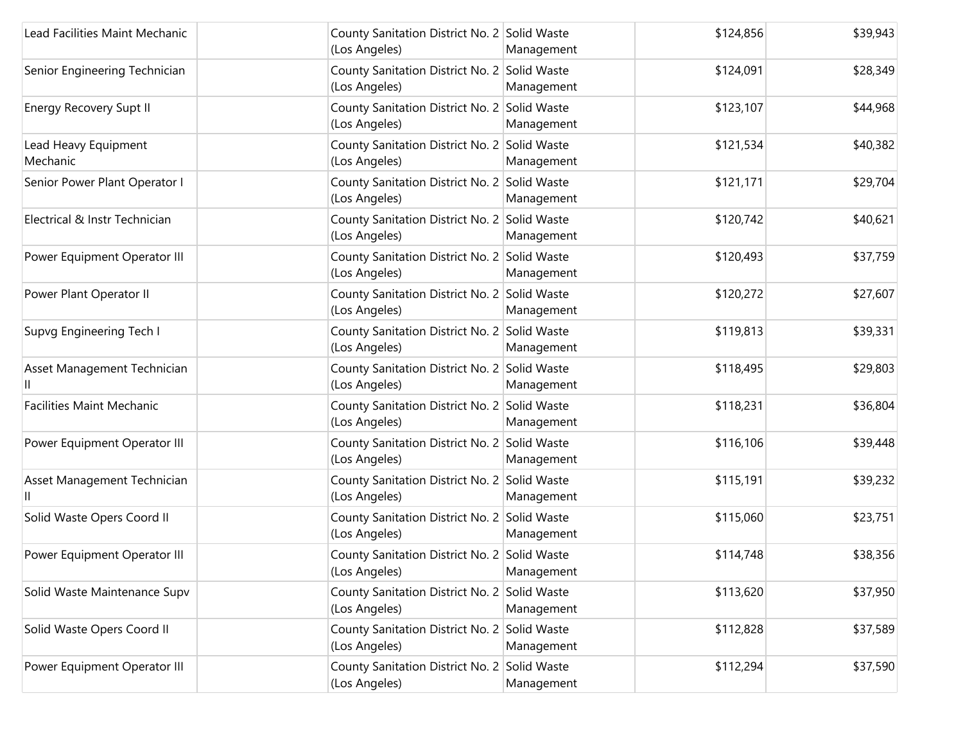| Lead Facilities Maint Mechanic   | County Sanitation District No. 2 Solid Waste<br>(Los Angeles) | Management | \$124,856 | \$39,943 |
|----------------------------------|---------------------------------------------------------------|------------|-----------|----------|
| Senior Engineering Technician    | County Sanitation District No. 2 Solid Waste<br>(Los Angeles) | Management | \$124,091 | \$28,349 |
| <b>Energy Recovery Supt II</b>   | County Sanitation District No. 2 Solid Waste<br>(Los Angeles) | Management | \$123,107 | \$44,968 |
| Lead Heavy Equipment<br>Mechanic | County Sanitation District No. 2 Solid Waste<br>(Los Angeles) | Management | \$121,534 | \$40,382 |
| Senior Power Plant Operator I    | County Sanitation District No. 2 Solid Waste<br>(Los Angeles) | Management | \$121,171 | \$29,704 |
| Electrical & Instr Technician    | County Sanitation District No. 2 Solid Waste<br>(Los Angeles) | Management | \$120,742 | \$40,621 |
| Power Equipment Operator III     | County Sanitation District No. 2 Solid Waste<br>(Los Angeles) | Management | \$120,493 | \$37,759 |
| Power Plant Operator II          | County Sanitation District No. 2 Solid Waste<br>(Los Angeles) | Management | \$120,272 | \$27,607 |
| Supvg Engineering Tech I         | County Sanitation District No. 2 Solid Waste<br>(Los Angeles) | Management | \$119,813 | \$39,331 |
| Asset Management Technician      | County Sanitation District No. 2 Solid Waste<br>(Los Angeles) | Management | \$118,495 | \$29,803 |
| <b>Facilities Maint Mechanic</b> | County Sanitation District No. 2 Solid Waste<br>(Los Angeles) | Management | \$118,231 | \$36,804 |
| Power Equipment Operator III     | County Sanitation District No. 2 Solid Waste<br>(Los Angeles) | Management | \$116,106 | \$39,448 |
| Asset Management Technician      | County Sanitation District No. 2 Solid Waste<br>(Los Angeles) | Management | \$115,191 | \$39,232 |
| Solid Waste Opers Coord II       | County Sanitation District No. 2 Solid Waste<br>(Los Angeles) | Management | \$115,060 | \$23,751 |
| Power Equipment Operator III     | County Sanitation District No. 2 Solid Waste<br>(Los Angeles) | Management | \$114,748 | \$38,356 |
| Solid Waste Maintenance Supv     | County Sanitation District No. 2 Solid Waste<br>(Los Angeles) | Management | \$113,620 | \$37,950 |
| Solid Waste Opers Coord II       | County Sanitation District No. 2 Solid Waste<br>(Los Angeles) | Management | \$112,828 | \$37,589 |
| Power Equipment Operator III     | County Sanitation District No. 2 Solid Waste<br>(Los Angeles) | Management | \$112,294 | \$37,590 |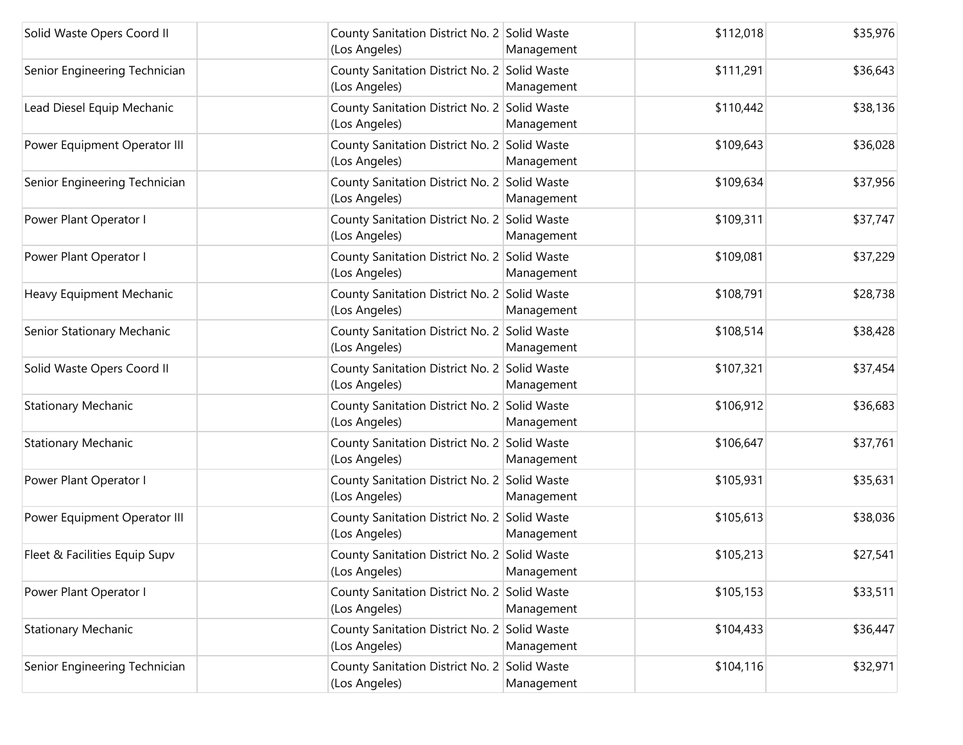| Solid Waste Opers Coord II    | County Sanitation District No. 2 Solid Waste<br>(Los Angeles) | Management | \$112,018 | \$35,976 |
|-------------------------------|---------------------------------------------------------------|------------|-----------|----------|
| Senior Engineering Technician | County Sanitation District No. 2 Solid Waste<br>(Los Angeles) | Management | \$111,291 | \$36,643 |
| Lead Diesel Equip Mechanic    | County Sanitation District No. 2 Solid Waste<br>(Los Angeles) | Management | \$110,442 | \$38,136 |
| Power Equipment Operator III  | County Sanitation District No. 2 Solid Waste<br>(Los Angeles) | Management | \$109,643 | \$36,028 |
| Senior Engineering Technician | County Sanitation District No. 2 Solid Waste<br>(Los Angeles) | Management | \$109,634 | \$37,956 |
| Power Plant Operator I        | County Sanitation District No. 2 Solid Waste<br>(Los Angeles) | Management | \$109,311 | \$37,747 |
| Power Plant Operator I        | County Sanitation District No. 2 Solid Waste<br>(Los Angeles) | Management | \$109,081 | \$37,229 |
| Heavy Equipment Mechanic      | County Sanitation District No. 2 Solid Waste<br>(Los Angeles) | Management | \$108,791 | \$28,738 |
| Senior Stationary Mechanic    | County Sanitation District No. 2 Solid Waste<br>(Los Angeles) | Management | \$108,514 | \$38,428 |
| Solid Waste Opers Coord II    | County Sanitation District No. 2 Solid Waste<br>(Los Angeles) | Management | \$107,321 | \$37,454 |
| <b>Stationary Mechanic</b>    | County Sanitation District No. 2 Solid Waste<br>(Los Angeles) | Management | \$106,912 | \$36,683 |
| <b>Stationary Mechanic</b>    | County Sanitation District No. 2 Solid Waste<br>(Los Angeles) | Management | \$106,647 | \$37,761 |
| Power Plant Operator I        | County Sanitation District No. 2 Solid Waste<br>(Los Angeles) | Management | \$105,931 | \$35,631 |
| Power Equipment Operator III  | County Sanitation District No. 2 Solid Waste<br>(Los Angeles) | Management | \$105,613 | \$38,036 |
| Fleet & Facilities Equip Supv | County Sanitation District No. 2 Solid Waste<br>(Los Angeles) | Management | \$105,213 | \$27,541 |
| Power Plant Operator I        | County Sanitation District No. 2 Solid Waste<br>(Los Angeles) | Management | \$105,153 | \$33,511 |
| <b>Stationary Mechanic</b>    | County Sanitation District No. 2 Solid Waste<br>(Los Angeles) | Management | \$104,433 | \$36,447 |
| Senior Engineering Technician | County Sanitation District No. 2 Solid Waste<br>(Los Angeles) | Management | \$104,116 | \$32,971 |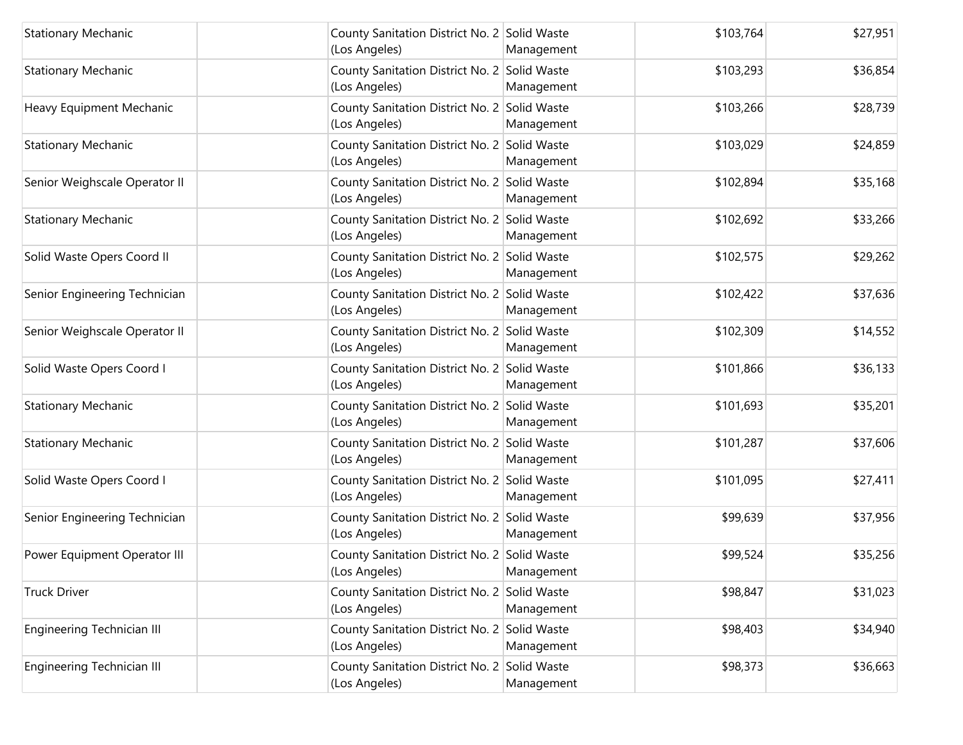| <b>Stationary Mechanic</b>    | County Sanitation District No. 2 Solid Waste<br>(Los Angeles) | Management | \$103,764 | \$27,951 |
|-------------------------------|---------------------------------------------------------------|------------|-----------|----------|
| <b>Stationary Mechanic</b>    | County Sanitation District No. 2 Solid Waste<br>(Los Angeles) | Management | \$103,293 | \$36,854 |
| Heavy Equipment Mechanic      | County Sanitation District No. 2 Solid Waste<br>(Los Angeles) | Management | \$103,266 | \$28,739 |
| <b>Stationary Mechanic</b>    | County Sanitation District No. 2 Solid Waste<br>(Los Angeles) | Management | \$103,029 | \$24,859 |
| Senior Weighscale Operator II | County Sanitation District No. 2 Solid Waste<br>(Los Angeles) | Management | \$102,894 | \$35,168 |
| <b>Stationary Mechanic</b>    | County Sanitation District No. 2 Solid Waste<br>(Los Angeles) | Management | \$102,692 | \$33,266 |
| Solid Waste Opers Coord II    | County Sanitation District No. 2 Solid Waste<br>(Los Angeles) | Management | \$102,575 | \$29,262 |
| Senior Engineering Technician | County Sanitation District No. 2 Solid Waste<br>(Los Angeles) | Management | \$102,422 | \$37,636 |
| Senior Weighscale Operator II | County Sanitation District No. 2 Solid Waste<br>(Los Angeles) | Management | \$102,309 | \$14,552 |
| Solid Waste Opers Coord I     | County Sanitation District No. 2 Solid Waste<br>(Los Angeles) | Management | \$101,866 | \$36,133 |
| <b>Stationary Mechanic</b>    | County Sanitation District No. 2 Solid Waste<br>(Los Angeles) | Management | \$101,693 | \$35,201 |
| <b>Stationary Mechanic</b>    | County Sanitation District No. 2 Solid Waste<br>(Los Angeles) | Management | \$101,287 | \$37,606 |
| Solid Waste Opers Coord I     | County Sanitation District No. 2 Solid Waste<br>(Los Angeles) | Management | \$101,095 | \$27,411 |
| Senior Engineering Technician | County Sanitation District No. 2 Solid Waste<br>(Los Angeles) | Management | \$99,639  | \$37,956 |
| Power Equipment Operator III  | County Sanitation District No. 2 Solid Waste<br>(Los Angeles) | Management | \$99,524  | \$35,256 |
| <b>Truck Driver</b>           | County Sanitation District No. 2 Solid Waste<br>(Los Angeles) | Management | \$98,847  | \$31,023 |
| Engineering Technician III    | County Sanitation District No. 2 Solid Waste<br>(Los Angeles) | Management | \$98,403  | \$34,940 |
| Engineering Technician III    | County Sanitation District No. 2 Solid Waste<br>(Los Angeles) | Management | \$98,373  | \$36,663 |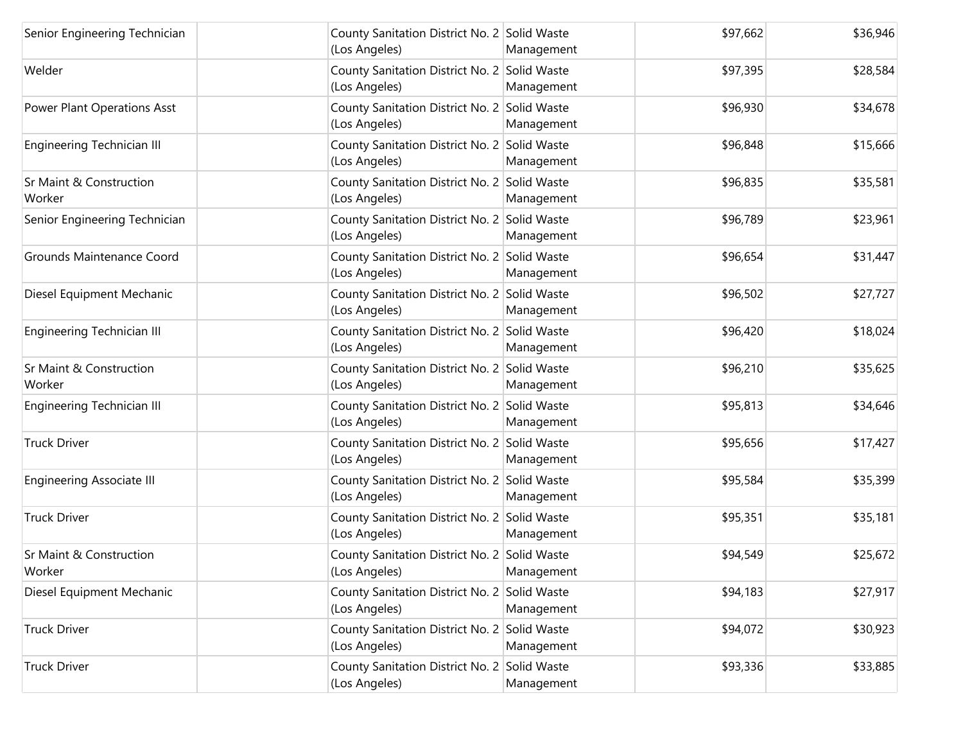| Senior Engineering Technician     | County Sanitation District No. 2 Solid Waste<br>(Los Angeles) | Management | \$97,662 | \$36,946 |
|-----------------------------------|---------------------------------------------------------------|------------|----------|----------|
| Welder                            | County Sanitation District No. 2 Solid Waste<br>(Los Angeles) | Management | \$97,395 | \$28,584 |
| Power Plant Operations Asst       | County Sanitation District No. 2 Solid Waste<br>(Los Angeles) | Management | \$96,930 | \$34,678 |
| Engineering Technician III        | County Sanitation District No. 2 Solid Waste<br>(Los Angeles) | Management | \$96,848 | \$15,666 |
| Sr Maint & Construction<br>Worker | County Sanitation District No. 2 Solid Waste<br>(Los Angeles) | Management | \$96,835 | \$35,581 |
| Senior Engineering Technician     | County Sanitation District No. 2 Solid Waste<br>(Los Angeles) | Management | \$96,789 | \$23,961 |
| <b>Grounds Maintenance Coord</b>  | County Sanitation District No. 2 Solid Waste<br>(Los Angeles) | Management | \$96,654 | \$31,447 |
| Diesel Equipment Mechanic         | County Sanitation District No. 2 Solid Waste<br>(Los Angeles) | Management | \$96,502 | \$27,727 |
| Engineering Technician III        | County Sanitation District No. 2 Solid Waste<br>(Los Angeles) | Management | \$96,420 | \$18,024 |
| Sr Maint & Construction<br>Worker | County Sanitation District No. 2 Solid Waste<br>(Los Angeles) | Management | \$96,210 | \$35,625 |
| Engineering Technician III        | County Sanitation District No. 2 Solid Waste<br>(Los Angeles) | Management | \$95,813 | \$34,646 |
| <b>Truck Driver</b>               | County Sanitation District No. 2 Solid Waste<br>(Los Angeles) | Management | \$95,656 | \$17,427 |
| <b>Engineering Associate III</b>  | County Sanitation District No. 2 Solid Waste<br>(Los Angeles) | Management | \$95,584 | \$35,399 |
| <b>Truck Driver</b>               | County Sanitation District No. 2 Solid Waste<br>(Los Angeles) | Management | \$95,351 | \$35,181 |
| Sr Maint & Construction<br>Worker | County Sanitation District No. 2 Solid Waste<br>(Los Angeles) | Management | \$94,549 | \$25,672 |
| Diesel Equipment Mechanic         | County Sanitation District No. 2 Solid Waste<br>(Los Angeles) | Management | \$94,183 | \$27,917 |
| <b>Truck Driver</b>               | County Sanitation District No. 2 Solid Waste<br>(Los Angeles) | Management | \$94,072 | \$30,923 |
| <b>Truck Driver</b>               | County Sanitation District No. 2 Solid Waste<br>(Los Angeles) | Management | \$93,336 | \$33,885 |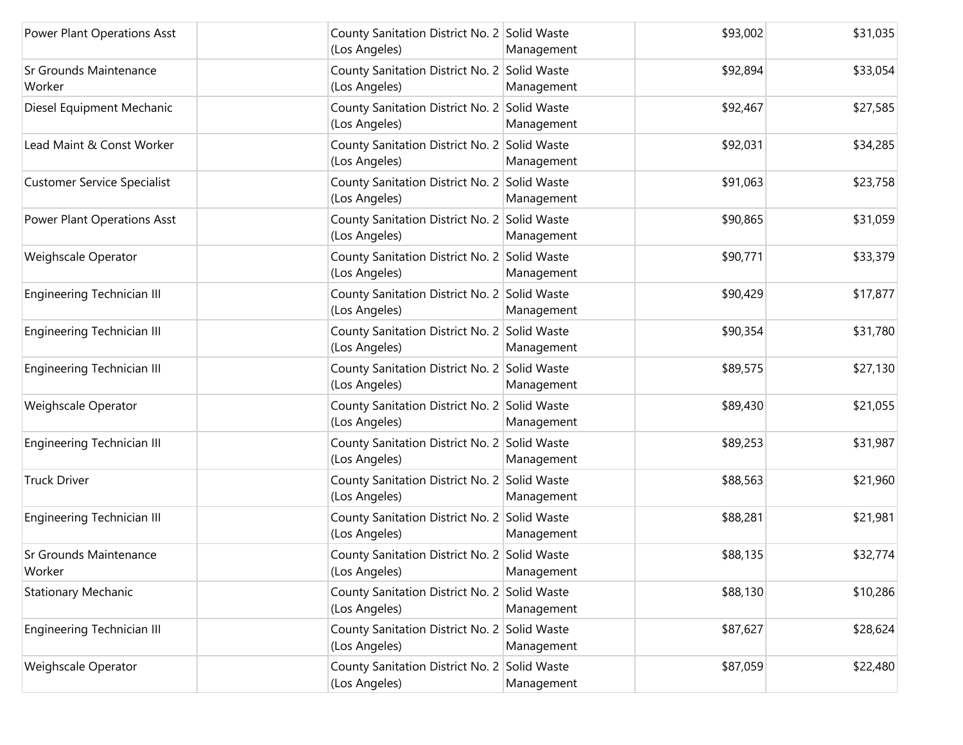| Power Plant Operations Asst             | County Sanitation District No. 2 Solid Waste<br>(Los Angeles) | Management | \$93,002 | \$31,035 |
|-----------------------------------------|---------------------------------------------------------------|------------|----------|----------|
| <b>Sr Grounds Maintenance</b><br>Worker | County Sanitation District No. 2 Solid Waste<br>(Los Angeles) | Management | \$92,894 | \$33,054 |
| Diesel Equipment Mechanic               | County Sanitation District No. 2 Solid Waste<br>(Los Angeles) | Management | \$92,467 | \$27,585 |
| Lead Maint & Const Worker               | County Sanitation District No. 2 Solid Waste<br>(Los Angeles) | Management | \$92,031 | \$34,285 |
| <b>Customer Service Specialist</b>      | County Sanitation District No. 2 Solid Waste<br>(Los Angeles) | Management | \$91,063 | \$23,758 |
| Power Plant Operations Asst             | County Sanitation District No. 2 Solid Waste<br>(Los Angeles) | Management | \$90,865 | \$31,059 |
| Weighscale Operator                     | County Sanitation District No. 2 Solid Waste<br>(Los Angeles) | Management | \$90,771 | \$33,379 |
| <b>Engineering Technician III</b>       | County Sanitation District No. 2 Solid Waste<br>(Los Angeles) | Management | \$90,429 | \$17,877 |
| Engineering Technician III              | County Sanitation District No. 2 Solid Waste<br>(Los Angeles) | Management | \$90,354 | \$31,780 |
| <b>Engineering Technician III</b>       | County Sanitation District No. 2 Solid Waste<br>(Los Angeles) | Management | \$89,575 | \$27,130 |
| Weighscale Operator                     | County Sanitation District No. 2 Solid Waste<br>(Los Angeles) | Management | \$89,430 | \$21,055 |
| <b>Engineering Technician III</b>       | County Sanitation District No. 2 Solid Waste<br>(Los Angeles) | Management | \$89,253 | \$31,987 |
| <b>Truck Driver</b>                     | County Sanitation District No. 2 Solid Waste<br>(Los Angeles) | Management | \$88,563 | \$21,960 |
| Engineering Technician III              | County Sanitation District No. 2 Solid Waste<br>(Los Angeles) | Management | \$88,281 | \$21,981 |
| Sr Grounds Maintenance<br>Worker        | County Sanitation District No. 2 Solid Waste<br>(Los Angeles) | Management | \$88,135 | \$32,774 |
| <b>Stationary Mechanic</b>              | County Sanitation District No. 2 Solid Waste<br>(Los Angeles) | Management | \$88,130 | \$10,286 |
| Engineering Technician III              | County Sanitation District No. 2 Solid Waste<br>(Los Angeles) | Management | \$87,627 | \$28,624 |
| Weighscale Operator                     | County Sanitation District No. 2 Solid Waste<br>(Los Angeles) | Management | \$87,059 | \$22,480 |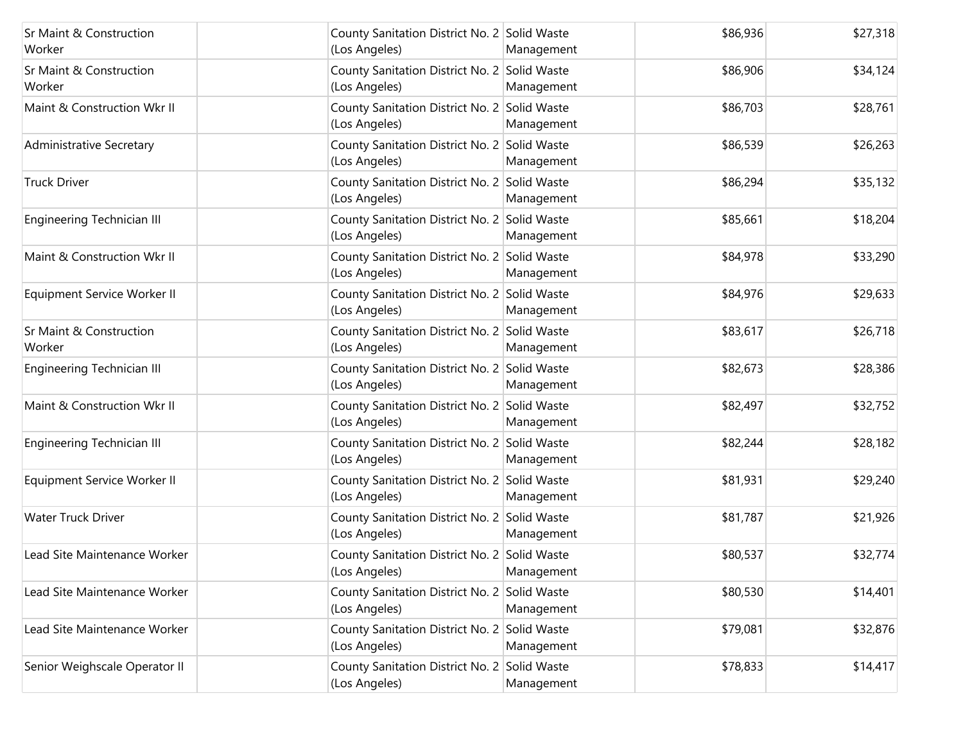| <b>Sr Maint &amp; Construction</b><br>Worker | County Sanitation District No. 2 Solid Waste<br>(Los Angeles) | Management | \$86,936 | \$27,318 |
|----------------------------------------------|---------------------------------------------------------------|------------|----------|----------|
| <b>Sr Maint &amp; Construction</b><br>Worker | County Sanitation District No. 2 Solid Waste<br>(Los Angeles) | Management | \$86,906 | \$34,124 |
| Maint & Construction Wkr II                  | County Sanitation District No. 2 Solid Waste<br>(Los Angeles) | Management | \$86,703 | \$28,761 |
| Administrative Secretary                     | County Sanitation District No. 2 Solid Waste<br>(Los Angeles) | Management | \$86,539 | \$26,263 |
| <b>Truck Driver</b>                          | County Sanitation District No. 2 Solid Waste<br>(Los Angeles) | Management | \$86,294 | \$35,132 |
| Engineering Technician III                   | County Sanitation District No. 2 Solid Waste<br>(Los Angeles) | Management | \$85,661 | \$18,204 |
| Maint & Construction Wkr II                  | County Sanitation District No. 2 Solid Waste<br>(Los Angeles) | Management | \$84,978 | \$33,290 |
| Equipment Service Worker II                  | County Sanitation District No. 2 Solid Waste<br>(Los Angeles) | Management | \$84,976 | \$29,633 |
| <b>Sr Maint &amp; Construction</b><br>Worker | County Sanitation District No. 2 Solid Waste<br>(Los Angeles) | Management | \$83,617 | \$26,718 |
| Engineering Technician III                   | County Sanitation District No. 2 Solid Waste<br>(Los Angeles) | Management | \$82,673 | \$28,386 |
| Maint & Construction Wkr II                  | County Sanitation District No. 2 Solid Waste<br>(Los Angeles) | Management | \$82,497 | \$32,752 |
| <b>Engineering Technician III</b>            | County Sanitation District No. 2 Solid Waste<br>(Los Angeles) | Management | \$82,244 | \$28,182 |
| Equipment Service Worker II                  | County Sanitation District No. 2 Solid Waste<br>(Los Angeles) | Management | \$81,931 | \$29,240 |
| <b>Water Truck Driver</b>                    | County Sanitation District No. 2 Solid Waste<br>(Los Angeles) | Management | \$81,787 | \$21,926 |
| Lead Site Maintenance Worker                 | County Sanitation District No. 2 Solid Waste<br>(Los Angeles) | Management | \$80,537 | \$32,774 |
| Lead Site Maintenance Worker                 | County Sanitation District No. 2 Solid Waste<br>(Los Angeles) | Management | \$80,530 | \$14,401 |
| Lead Site Maintenance Worker                 | County Sanitation District No. 2 Solid Waste<br>(Los Angeles) | Management | \$79,081 | \$32,876 |
| Senior Weighscale Operator II                | County Sanitation District No. 2 Solid Waste<br>(Los Angeles) | Management | \$78,833 | \$14,417 |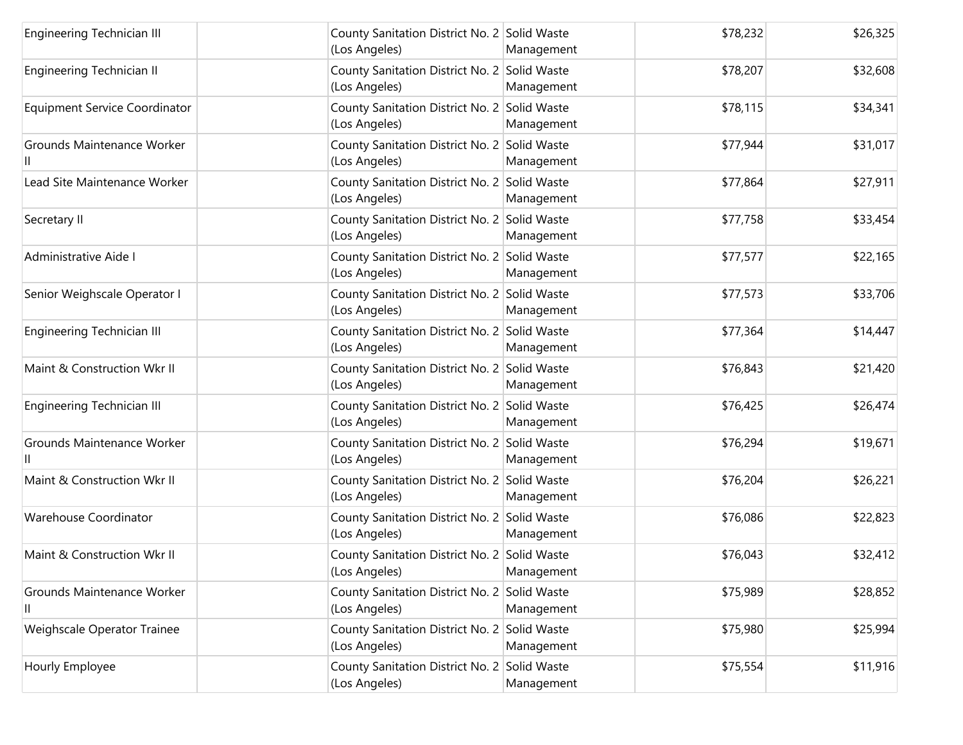| <b>Engineering Technician III</b>    | County Sanitation District No. 2 Solid Waste<br>(Los Angeles) | Management | \$78,232 | \$26,325 |
|--------------------------------------|---------------------------------------------------------------|------------|----------|----------|
| Engineering Technician II            | County Sanitation District No. 2 Solid Waste<br>(Los Angeles) | Management | \$78,207 | \$32,608 |
| <b>Equipment Service Coordinator</b> | County Sanitation District No. 2 Solid Waste<br>(Los Angeles) | Management | \$78,115 | \$34,341 |
| Grounds Maintenance Worker           | County Sanitation District No. 2 Solid Waste<br>(Los Angeles) | Management | \$77,944 | \$31,017 |
| Lead Site Maintenance Worker         | County Sanitation District No. 2 Solid Waste<br>(Los Angeles) | Management | \$77,864 | \$27,911 |
| Secretary II                         | County Sanitation District No. 2 Solid Waste<br>(Los Angeles) | Management | \$77,758 | \$33,454 |
| Administrative Aide I                | County Sanitation District No. 2 Solid Waste<br>(Los Angeles) | Management | \$77,577 | \$22,165 |
| Senior Weighscale Operator I         | County Sanitation District No. 2 Solid Waste<br>(Los Angeles) | Management | \$77,573 | \$33,706 |
| Engineering Technician III           | County Sanitation District No. 2 Solid Waste<br>(Los Angeles) | Management | \$77,364 | \$14,447 |
| Maint & Construction Wkr II          | County Sanitation District No. 2 Solid Waste<br>(Los Angeles) | Management | \$76,843 | \$21,420 |
| <b>Engineering Technician III</b>    | County Sanitation District No. 2 Solid Waste<br>(Los Angeles) | Management | \$76,425 | \$26,474 |
| Grounds Maintenance Worker           | County Sanitation District No. 2 Solid Waste<br>(Los Angeles) | Management | \$76,294 | \$19,671 |
| Maint & Construction Wkr II          | County Sanitation District No. 2 Solid Waste<br>(Los Angeles) | Management | \$76,204 | \$26,221 |
| Warehouse Coordinator                | County Sanitation District No. 2 Solid Waste<br>(Los Angeles) | Management | \$76,086 | \$22,823 |
| Maint & Construction Wkr II          | County Sanitation District No. 2 Solid Waste<br>(Los Angeles) | Management | \$76,043 | \$32,412 |
| Grounds Maintenance Worker<br>Ш      | County Sanitation District No. 2 Solid Waste<br>(Los Angeles) | Management | \$75,989 | \$28,852 |
| Weighscale Operator Trainee          | County Sanitation District No. 2 Solid Waste<br>(Los Angeles) | Management | \$75,980 | \$25,994 |
| Hourly Employee                      | County Sanitation District No. 2 Solid Waste<br>(Los Angeles) | Management | \$75,554 | \$11,916 |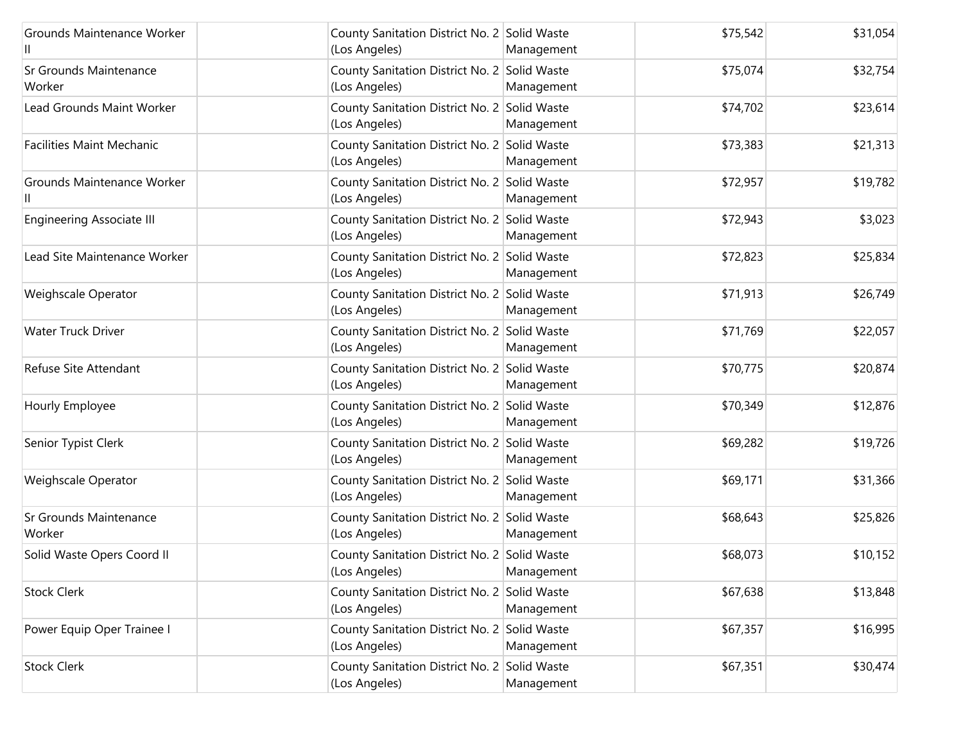| Grounds Maintenance Worker              | County Sanitation District No. 2 Solid Waste<br>(Los Angeles) | Management | \$75,542 | \$31,054 |
|-----------------------------------------|---------------------------------------------------------------|------------|----------|----------|
| <b>Sr Grounds Maintenance</b><br>Worker | County Sanitation District No. 2 Solid Waste<br>(Los Angeles) | Management | \$75,074 | \$32,754 |
| Lead Grounds Maint Worker               | County Sanitation District No. 2 Solid Waste<br>(Los Angeles) | Management | \$74,702 | \$23,614 |
| <b>Facilities Maint Mechanic</b>        | County Sanitation District No. 2 Solid Waste<br>(Los Angeles) | Management | \$73,383 | \$21,313 |
| Grounds Maintenance Worker              | County Sanitation District No. 2 Solid Waste<br>(Los Angeles) | Management | \$72,957 | \$19,782 |
| <b>Engineering Associate III</b>        | County Sanitation District No. 2 Solid Waste<br>(Los Angeles) | Management | \$72,943 | \$3,023  |
| Lead Site Maintenance Worker            | County Sanitation District No. 2 Solid Waste<br>(Los Angeles) | Management | \$72,823 | \$25,834 |
| Weighscale Operator                     | County Sanitation District No. 2 Solid Waste<br>(Los Angeles) | Management | \$71,913 | \$26,749 |
| <b>Water Truck Driver</b>               | County Sanitation District No. 2 Solid Waste<br>(Los Angeles) | Management | \$71,769 | \$22,057 |
| Refuse Site Attendant                   | County Sanitation District No. 2 Solid Waste<br>(Los Angeles) | Management | \$70,775 | \$20,874 |
| Hourly Employee                         | County Sanitation District No. 2 Solid Waste<br>(Los Angeles) | Management | \$70,349 | \$12,876 |
| Senior Typist Clerk                     | County Sanitation District No. 2 Solid Waste<br>(Los Angeles) | Management | \$69,282 | \$19,726 |
| Weighscale Operator                     | County Sanitation District No. 2 Solid Waste<br>(Los Angeles) | Management | \$69,171 | \$31,366 |
| Sr Grounds Maintenance<br>Worker        | County Sanitation District No. 2 Solid Waste<br>(Los Angeles) | Management | \$68,643 | \$25,826 |
| Solid Waste Opers Coord II              | County Sanitation District No. 2 Solid Waste<br>(Los Angeles) | Management | \$68,073 | \$10,152 |
| <b>Stock Clerk</b>                      | County Sanitation District No. 2 Solid Waste<br>(Los Angeles) | Management | \$67,638 | \$13,848 |
| Power Equip Oper Trainee I              | County Sanitation District No. 2 Solid Waste<br>(Los Angeles) | Management | \$67,357 | \$16,995 |
| <b>Stock Clerk</b>                      | County Sanitation District No. 2 Solid Waste<br>(Los Angeles) | Management | \$67,351 | \$30,474 |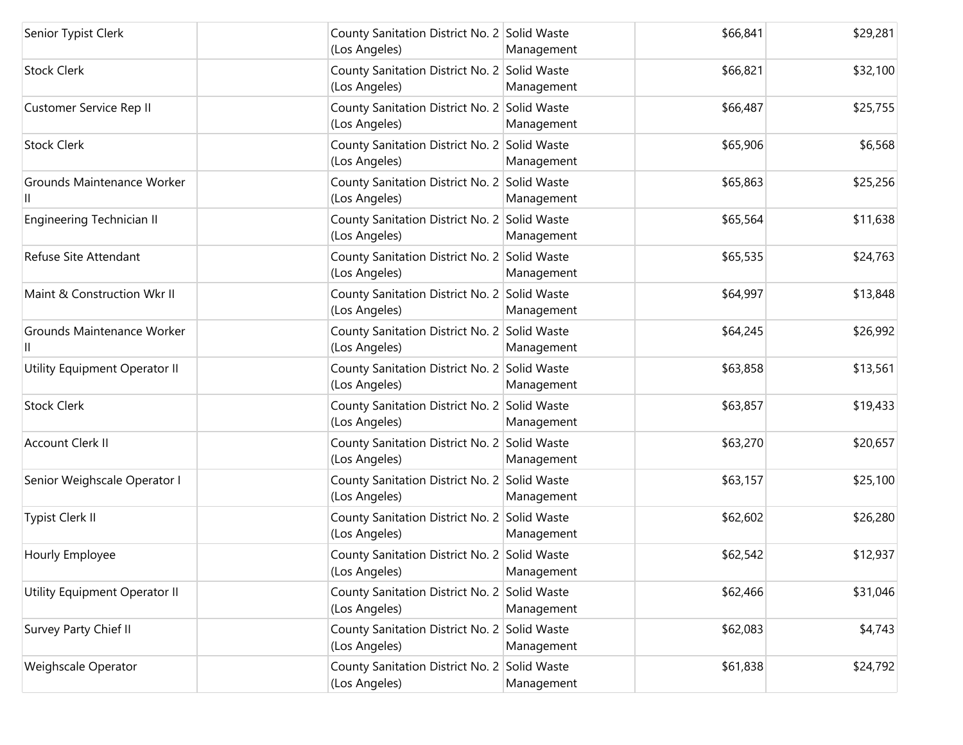| Senior Typist Clerk           | County Sanitation District No. 2 Solid Waste<br>(Los Angeles) | Management | \$66,841 | \$29,281 |
|-------------------------------|---------------------------------------------------------------|------------|----------|----------|
| <b>Stock Clerk</b>            | County Sanitation District No. 2 Solid Waste<br>(Los Angeles) | Management | \$66,821 | \$32,100 |
| Customer Service Rep II       | County Sanitation District No. 2 Solid Waste<br>(Los Angeles) | Management | \$66,487 | \$25,755 |
| <b>Stock Clerk</b>            | County Sanitation District No. 2 Solid Waste<br>(Los Angeles) | Management | \$65,906 | \$6,568  |
| Grounds Maintenance Worker    | County Sanitation District No. 2 Solid Waste<br>(Los Angeles) | Management | \$65,863 | \$25,256 |
| Engineering Technician II     | County Sanitation District No. 2 Solid Waste<br>(Los Angeles) | Management | \$65,564 | \$11,638 |
| Refuse Site Attendant         | County Sanitation District No. 2 Solid Waste<br>(Los Angeles) | Management | \$65,535 | \$24,763 |
| Maint & Construction Wkr II   | County Sanitation District No. 2 Solid Waste<br>(Los Angeles) | Management | \$64,997 | \$13,848 |
| Grounds Maintenance Worker    | County Sanitation District No. 2 Solid Waste<br>(Los Angeles) | Management | \$64,245 | \$26,992 |
| Utility Equipment Operator II | County Sanitation District No. 2 Solid Waste<br>(Los Angeles) | Management | \$63,858 | \$13,561 |
| <b>Stock Clerk</b>            | County Sanitation District No. 2 Solid Waste<br>(Los Angeles) | Management | \$63,857 | \$19,433 |
| Account Clerk II              | County Sanitation District No. 2 Solid Waste<br>(Los Angeles) | Management | \$63,270 | \$20,657 |
| Senior Weighscale Operator I  | County Sanitation District No. 2 Solid Waste<br>(Los Angeles) | Management | \$63,157 | \$25,100 |
| Typist Clerk II               | County Sanitation District No. 2 Solid Waste<br>(Los Angeles) | Management | \$62,602 | \$26,280 |
| Hourly Employee               | County Sanitation District No. 2 Solid Waste<br>(Los Angeles) | Management | \$62,542 | \$12,937 |
| Utility Equipment Operator II | County Sanitation District No. 2 Solid Waste<br>(Los Angeles) | Management | \$62,466 | \$31,046 |
| Survey Party Chief II         | County Sanitation District No. 2 Solid Waste<br>(Los Angeles) | Management | \$62,083 | \$4,743  |
| Weighscale Operator           | County Sanitation District No. 2 Solid Waste<br>(Los Angeles) | Management | \$61,838 | \$24,792 |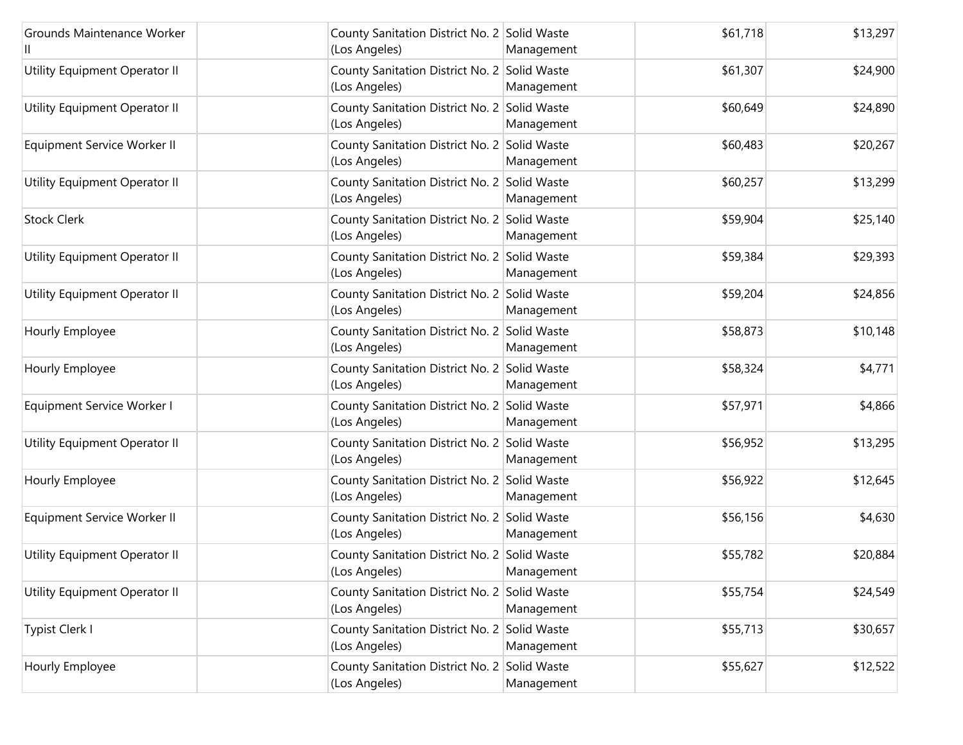| Grounds Maintenance Worker    | County Sanitation District No. 2 Solid Waste<br>(Los Angeles) | Management | \$61,718 | \$13,297 |
|-------------------------------|---------------------------------------------------------------|------------|----------|----------|
| Utility Equipment Operator II | County Sanitation District No. 2 Solid Waste<br>(Los Angeles) | Management | \$61,307 | \$24,900 |
| Utility Equipment Operator II | County Sanitation District No. 2 Solid Waste<br>(Los Angeles) | Management | \$60,649 | \$24,890 |
| Equipment Service Worker II   | County Sanitation District No. 2 Solid Waste<br>(Los Angeles) | Management | \$60,483 | \$20,267 |
| Utility Equipment Operator II | County Sanitation District No. 2 Solid Waste<br>(Los Angeles) | Management | \$60,257 | \$13,299 |
| <b>Stock Clerk</b>            | County Sanitation District No. 2 Solid Waste<br>(Los Angeles) | Management | \$59,904 | \$25,140 |
| Utility Equipment Operator II | County Sanitation District No. 2 Solid Waste<br>(Los Angeles) | Management | \$59,384 | \$29,393 |
| Utility Equipment Operator II | County Sanitation District No. 2 Solid Waste<br>(Los Angeles) | Management | \$59,204 | \$24,856 |
| Hourly Employee               | County Sanitation District No. 2 Solid Waste<br>(Los Angeles) | Management | \$58,873 | \$10,148 |
| Hourly Employee               | County Sanitation District No. 2 Solid Waste<br>(Los Angeles) | Management | \$58,324 | \$4,771  |
| Equipment Service Worker I    | County Sanitation District No. 2 Solid Waste<br>(Los Angeles) | Management | \$57,971 | \$4,866  |
| Utility Equipment Operator II | County Sanitation District No. 2 Solid Waste<br>(Los Angeles) | Management | \$56,952 | \$13,295 |
| Hourly Employee               | County Sanitation District No. 2 Solid Waste<br>(Los Angeles) | Management | \$56,922 | \$12,645 |
| Equipment Service Worker II   | County Sanitation District No. 2 Solid Waste<br>(Los Angeles) | Management | \$56,156 | \$4,630  |
| Utility Equipment Operator II | County Sanitation District No. 2 Solid Waste<br>(Los Angeles) | Management | \$55,782 | \$20,884 |
| Utility Equipment Operator II | County Sanitation District No. 2 Solid Waste<br>(Los Angeles) | Management | \$55,754 | \$24,549 |
| Typist Clerk I                | County Sanitation District No. 2 Solid Waste<br>(Los Angeles) | Management | \$55,713 | \$30,657 |
| Hourly Employee               | County Sanitation District No. 2 Solid Waste<br>(Los Angeles) | Management | \$55,627 | \$12,522 |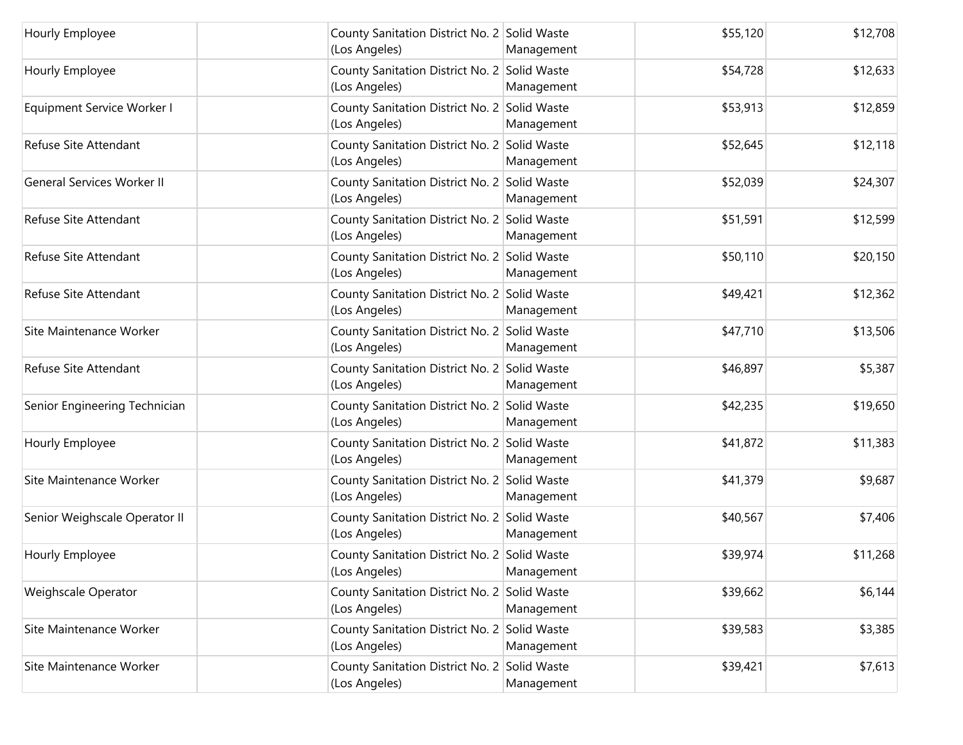| Hourly Employee                   | County Sanitation District No. 2 Solid Waste<br>(Los Angeles) | Management | \$55,120 | \$12,708 |
|-----------------------------------|---------------------------------------------------------------|------------|----------|----------|
| Hourly Employee                   | County Sanitation District No. 2 Solid Waste<br>(Los Angeles) | Management | \$54,728 | \$12,633 |
| Equipment Service Worker I        | County Sanitation District No. 2 Solid Waste<br>(Los Angeles) | Management | \$53,913 | \$12,859 |
| Refuse Site Attendant             | County Sanitation District No. 2 Solid Waste<br>(Los Angeles) | Management | \$52,645 | \$12,118 |
| <b>General Services Worker II</b> | County Sanitation District No. 2 Solid Waste<br>(Los Angeles) | Management | \$52,039 | \$24,307 |
| Refuse Site Attendant             | County Sanitation District No. 2 Solid Waste<br>(Los Angeles) | Management | \$51,591 | \$12,599 |
| Refuse Site Attendant             | County Sanitation District No. 2 Solid Waste<br>(Los Angeles) | Management | \$50,110 | \$20,150 |
| Refuse Site Attendant             | County Sanitation District No. 2 Solid Waste<br>(Los Angeles) | Management | \$49,421 | \$12,362 |
| Site Maintenance Worker           | County Sanitation District No. 2 Solid Waste<br>(Los Angeles) | Management | \$47,710 | \$13,506 |
| Refuse Site Attendant             | County Sanitation District No. 2 Solid Waste<br>(Los Angeles) | Management | \$46,897 | \$5,387  |
| Senior Engineering Technician     | County Sanitation District No. 2 Solid Waste<br>(Los Angeles) | Management | \$42,235 | \$19,650 |
| Hourly Employee                   | County Sanitation District No. 2 Solid Waste<br>(Los Angeles) | Management | \$41,872 | \$11,383 |
| Site Maintenance Worker           | County Sanitation District No. 2 Solid Waste<br>(Los Angeles) | Management | \$41,379 | \$9,687  |
| Senior Weighscale Operator II     | County Sanitation District No. 2 Solid Waste<br>(Los Angeles) | Management | \$40,567 | \$7,406  |
| Hourly Employee                   | County Sanitation District No. 2 Solid Waste<br>(Los Angeles) | Management | \$39,974 | \$11,268 |
| Weighscale Operator               | County Sanitation District No. 2 Solid Waste<br>(Los Angeles) | Management | \$39,662 | \$6,144  |
| Site Maintenance Worker           | County Sanitation District No. 2 Solid Waste<br>(Los Angeles) | Management | \$39,583 | \$3,385  |
| Site Maintenance Worker           | County Sanitation District No. 2 Solid Waste<br>(Los Angeles) | Management | \$39,421 | \$7,613  |